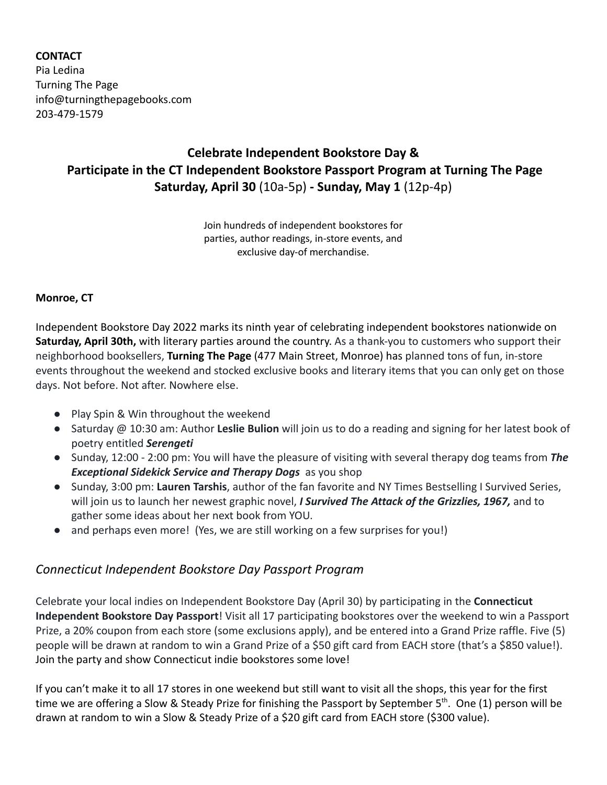### **CONTACT**

Pia Ledina Turning The Page info@turningthepagebooks.com 203-479-1579

## **Celebrate Independent Bookstore Day & Participate in the CT Independent Bookstore Passport Program at Turning The Page Saturday, April 30** (10a-5p) **- Sunday, May 1** (12p-4p)

Join hundreds of independent bookstores for parties, author readings, in-store events, and exclusive day-of merchandise.

#### **Monroe, CT**

Independent Bookstore Day 2022 marks its ninth year of celebrating independent bookstores nationwide on **Saturday, April 30th,** with literary parties around the country. As a thank-you to customers who support their neighborhood booksellers, **Turning The Page** (477 Main Street, Monroe) has planned tons of fun, in-store events throughout the weekend and stocked exclusive books and literary items that you can only get on those days. Not before. Not after. Nowhere else.

- Play Spin & Win throughout the weekend
- Saturday @ 10:30 am: Author **Leslie Bulion** will join us to do a reading and signing for her latest book of poetry entitled *Serengeti*
- Sunday, 12:00 2:00 pm: You will have the pleasure of visiting with several therapy dog teams from *The Exceptional Sidekick Service and Therapy Dogs* as you shop
- Sunday, 3:00 pm: **Lauren Tarshis**, author of the fan favorite and NY Times Bestselling I Survived Series, will join us to launch her newest graphic novel, *I Survived The Attack of the Grizzlies, 1967,* and to gather some ideas about her next book from YOU.
- and perhaps even more! (Yes, we are still working on a few surprises for you!)

### *Connecticut Independent Bookstore Day Passport Program*

Celebrate your local indies on Independent Bookstore Day (April 30) by participating in the **Connecticut Independent Bookstore Day Passport**! Visit all 17 participating bookstores over the weekend to win a Passport Prize, a 20% coupon from each store (some exclusions apply), and be entered into a Grand Prize raffle. Five (5) people will be drawn at random to win a Grand Prize of a \$50 gift card from EACH store (that's a \$850 value!). Join the party and show Connecticut indie bookstores some love!

If you can't make it to all 17 stores in one weekend but still want to visit all the shops, this year for the first time we are offering a Slow & Steady Prize for finishing the Passport by September 5<sup>th</sup>. One (1) person will be drawn at random to win a Slow & Steady Prize of a \$20 gift card from EACH store (\$300 value).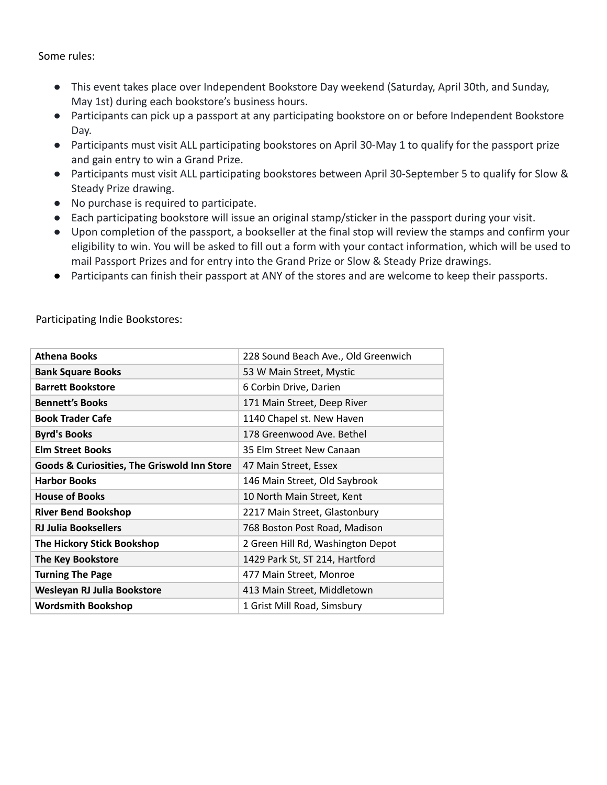Some rules:

- This event takes place over Independent Bookstore Day weekend (Saturday, April 30th, and Sunday, May 1st) during each bookstore's business hours.
- Participants can pick up a passport at any participating bookstore on or before Independent Bookstore Day.
- Participants must visit ALL participating bookstores on April 30-May 1 to qualify for the passport prize and gain entry to win a Grand Prize.
- Participants must visit ALL participating bookstores between April 30-September 5 to qualify for Slow & Steady Prize drawing.
- No purchase is required to participate.
- Each participating bookstore will issue an original stamp/sticker in the passport during your visit.
- Upon completion of the passport, a bookseller at the final stop will review the stamps and confirm your eligibility to win. You will be asked to fill out a form with your contact information, which will be used to mail Passport Prizes and for entry into the Grand Prize or Slow & Steady Prize drawings.
- Participants can finish their passport at ANY of the stores and are welcome to keep their passports.

| <b>Athena Books</b>                                    | 228 Sound Beach Ave., Old Greenwich |
|--------------------------------------------------------|-------------------------------------|
| <b>Bank Square Books</b>                               | 53 W Main Street, Mystic            |
| <b>Barrett Bookstore</b>                               | 6 Corbin Drive, Darien              |
| <b>Bennett's Books</b>                                 | 171 Main Street, Deep River         |
| <b>Book Trader Cafe</b>                                | 1140 Chapel st. New Haven           |
| <b>Byrd's Books</b>                                    | 178 Greenwood Ave. Bethel           |
| <b>Elm Street Books</b>                                | 35 Elm Street New Canaan            |
| <b>Goods &amp; Curiosities, The Griswold Inn Store</b> | 47 Main Street, Essex               |
| <b>Harbor Books</b>                                    | 146 Main Street, Old Saybrook       |
| <b>House of Books</b>                                  | 10 North Main Street, Kent          |
| <b>River Bend Bookshop</b>                             | 2217 Main Street, Glastonbury       |
| <b>RJ Julia Booksellers</b>                            | 768 Boston Post Road, Madison       |
| The Hickory Stick Bookshop                             | 2 Green Hill Rd, Washington Depot   |
| <b>The Key Bookstore</b>                               | 1429 Park St, ST 214, Hartford      |
| <b>Turning The Page</b>                                | 477 Main Street, Monroe             |
| Wesleyan RJ Julia Bookstore                            | 413 Main Street, Middletown         |
| <b>Wordsmith Bookshop</b>                              | 1 Grist Mill Road, Simsbury         |

Participating Indie Bookstores: